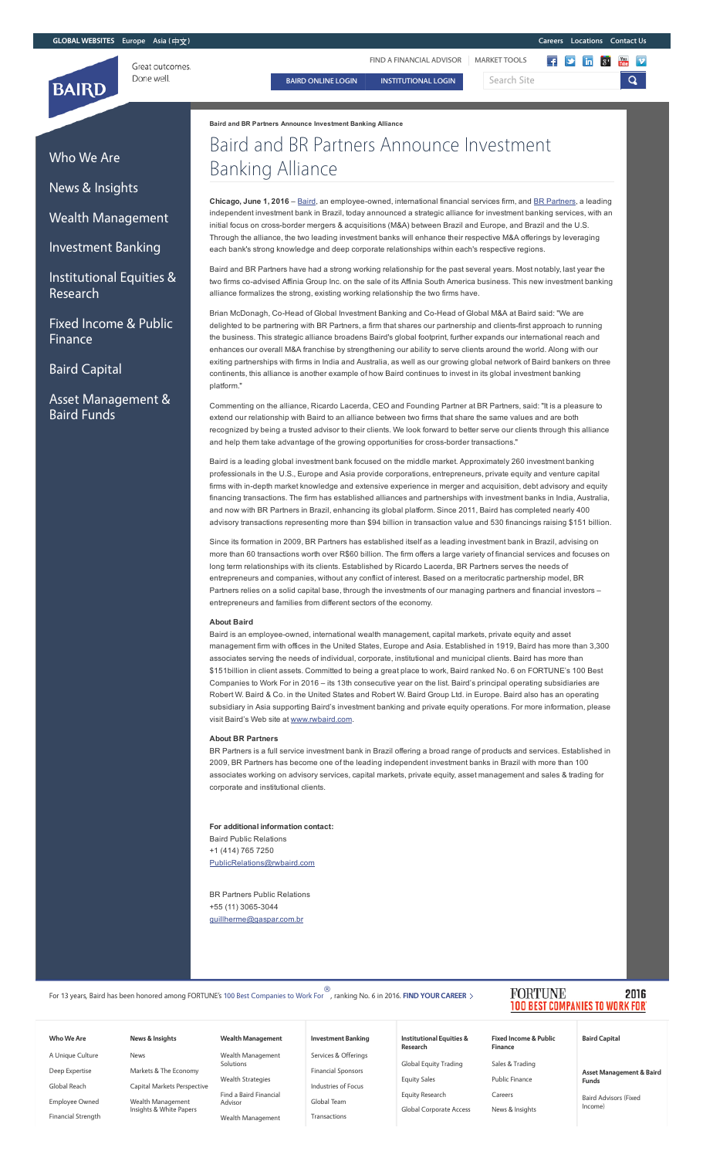

[Who](http://www.rwbaird.com/who-we-are/) We Are

News & [Insights](http://www.rwbaird.com/news-insights)

Wealth [Management](http://www.rwbaird.com/private-wealth-management/about)

[Investment](http://www.rwbaird.com/investment-banking/) Banking

[Institutional](http://www.rwbaird.com/equities-research/institutional-equities-research) Equities &

Fixed Income & Public

Asset [Management](http://www.rwbaird.com/asset-management/) &

Baird [Capital](http://www.bairdcapital.com/)

Baird Funds

Research

[Finance](http://www.rwbaird.com/fixed-income/)

FIND A [FINANCIAL](http://www.locatebaird.com/) ADVISOR | [MARKET](http://bol.rwbaird.com/redirect/PublicMarketTools) TOOLS

BAIRD [ONLINE](https://bol.rwbaird.com/Login) LOGIN | [INSTITUTIONAL](https://bol.rwbaird.com/Login/InstLogin) LOGIN | Search Site

 $\begin{array}{|c|c|c|c|c|}\n\hline\n\text{f} & \text{in} & \text{S'} & \text{in} & \text{V} \\
\hline\n\end{array}$  $\mathbf{Q}$ 

Baird and BR Partners Announce Investment Banking Alliance

# Baird and BR Partners Announce Investment Banking Alliance

Chicago, June 1, 2016 – [Baird](http://www.rwbaird.com/), an employee-owned, international financial services firm, and BR [Partners](http://www.brap.com.br/en/), a leading independent investment bank in Brazil, today announced a strategic alliance for investment banking services, with an initial focus on cross-border mergers & acquisitions (M&A) between Brazil and Europe, and Brazil and the U.S. Through the alliance, the two leading investment banks will enhance their respective M&A offerings by leveraging each bank's strong knowledge and deep corporate relationships within each's respective regions.

Baird and BR Partners have had a strong working relationship for the past several years. Most notably, last year the two firms co-advised Affinia Group Inc. on the sale of its Affinia South America business. This new investment banking alliance formalizes the strong, existing working relationship the two firms have.

Brian McDonagh, Co-Head of Global Investment Banking and Co-Head of Global M&A at Baird said: "We are delighted to be partnering with BR Partners, a firm that shares our partnership and clients-first approach to running the business. This strategic alliance broadens Baird's global footprint, further expands our international reach and enhances our overall M&A franchise by strengthening our ability to serve clients around the world. Along with our exiting partnerships with firms in India and Australia, as well as our growing global network of Baird bankers on three continents, this alliance is another example of how Baird continues to invest in its global investment banking platform."

Commenting on the alliance, Ricardo Lacerda, CEO and Founding Partner at BR Partners, said: "It is a pleasure to extend our relationship with Baird to an alliance between two firms that share the same values and are both recognized by being a trusted advisor to their clients. We look forward to better serve our clients through this alliance and help them take advantage of the growing opportunities for cross-border transactions."

Baird is a leading global investment bank focused on the middle market. Approximately 260 investment banking professionals in the U.S., Europe and Asia provide corporations, entrepreneurs, private equity and venture capital firms with in-depth market knowledge and extensive experience in merger and acquisition, debt advisory and equity financing transactions. The firm has established alliances and partnerships with investment banks in India, Australia, and now with BR Partners in Brazil, enhancing its global platform. Since 2011, Baird has completed nearly 400 advisory transactions representing more than \$94 billion in transaction value and 530 financings raising \$151 billion.

Since its formation in 2009, BR Partners has established itself as a leading investment bank in Brazil, advising on more than 60 transactions worth over R\$60 billion. The firm offers a large variety of financial services and focuses on long term relationships with its clients. Established by Ricardo Lacerda, BR Partners serves the needs of entrepreneurs and companies, without any conflict of interest. Based on a meritocratic partnership model, BR Partners relies on a solid capital base, through the investments of our managing partners and financial investors – entrepreneurs and families from different sectors of the economy.

#### About Baird

Baird is an employee-owned, international wealth management, capital markets, private equity and asset management firm with offices in the United States, Europe and Asia. Established in 1919, Baird has more than 3,300 associates serving the needs of individual, corporate, institutional and municipal clients. Baird has more than \$151billion in client assets. Committed to being a great place to work, Baird ranked No. 6 on FORTUNE's 100 Best Companies to Work For in 2016 – its 13th consecutive year on the list. Baird's principal operating subsidiaries are Robert W. Baird & Co. in the United States and Robert W. Baird Group Ltd. in Europe. Baird also has an operating subsidiary in Asia supporting Baird's investment banking and private equity operations. For more information, please visit Baird's Web site at [www.rwbaird.com.](http://www.rwbaird.com/)

#### About BR Partners

BR Partners is a full service investment bank in Brazil offering a broad range of products and services. Established in 2009, BR Partners has become one of the leading independent investment banks in Brazil with more than 100 associates working on advisory services, capital markets, private equity, asset management and sales & trading for corporate and institutional clients.

For additional information contact: Baird Public Relations +1 (414) 765 7250 [PublicRelations@rwbaird.com](mailto:PublicRelations@rwbaird.com)

BR Partners Public Relations +55 (11) 3065-3044 [guillherme@gaspar.com.br](mailto:guillherme@gaspar.com.br)

| For 13 years, Baird has been honored among FORTUNE's 100 Best Companies to Work For , ranking No. 6 in 2016. FIND YOUR CAREER > |  |  |  |  |
|---------------------------------------------------------------------------------------------------------------------------------|--|--|--|--|
|                                                                                                                                 |  |  |  |  |

## [Who](http://www.rwbaird.com/who-we-are/) We Are

A Unique [Culture](http://www.rwbaird.com/who-we-are/unique-culture/) Deep [Expertise](http://www.rwbaird.com/who-we-are/deep-expertise/) [Global](http://www.rwbaird.com/who-we-are/global-reach/) Reach [Employee](http://www.rwbaird.com/who-we-are/employee-owned/) Owned

Financial [Strength](http://www.rwbaird.com/who-we-are/financial-strength/)

## [News](http://www.rwbaird.com/news) Markets & The [Economy](http://www.rwbaird.com/news-insights/markets-and-the-economy) Capital Markets [Perspective](http://www.rwbaird.com/news-insights/capital-markets-perspective)

Wealth [Management](http://www.rwbaird.com/insights/wealth-management-insights) Insights & White Papers

News & [Insights](http://www.rwbaird.com/news-insights)

# Wealth [Management](http://www.rwbaird.com/private-wealth-management/about)

Find a Baird [Financial](http://www.locatebaird.com/)

Wealth [Management](http://www.rwbaird.com/insights/wealth-management-insights)

Solutions

Advi

Wealth [Management](http://www.rwbaird.com/private-wealth-management/solutions) Wealth [Strategies](http://www.rwbaird.com/private-wealth-management/wealth-strategies-videos)

### Services & [Offerings](http://www.rwbaird.com/investment-banking/services-offerings) [Investment](http://www.rwbaird.com/investment-banking/) Banking

Financial [Sponsors](http://www.rwbaird.com/investment-banking/financial-sponsors) [Industries](http://www.rwbaird.com/investment-banking/industries-of-focus) of Focus

[Global](http://www.rwbaird.com/investment-banking/team) Team [Transactions](http://www.rwbaird.com/investment-banking/transactions)

### [Institutional](http://www.rwbaird.com/equities-research/institutional-equities-research) Equities & Research

Global Equity [Trading](http://www.rwbaird.com/equities-research/equity-trading) [Equity](http://www.rwbaird.com/equities-research/equity-sales) Sales Equity [Research](http://www.rwbaird.com/equities-research/equity-research)

Global [Corporate](http://www.rwbaird.com/equities-research/corporate-access) Access

Sales & [Trading](http://www.rwbaird.com/fixed-income/sales-trading) Public [Finance](http://www.rwbaird.com/fixed-income/public-finance) [Careers](http://www.rwbaird.com/fixed-income/careers)

Fixed Income & Public [Finance](http://www.rwbaird.com/fixed-income/)

News & [Insights](http://www.rwbaird.com/fixed-income/news-insights)

### **FORTUNE** 2016 **PANIES TO WORK FOR**

### Baird [Capital](http://www.bairdcapital.com/)

Asset [Management](http://www.rwbaird.com/asset-management/) & Baird Funds

Baird [Advisors](http://www.rwbaird.com/asset-management/baird-advisors) (Fixed Income)